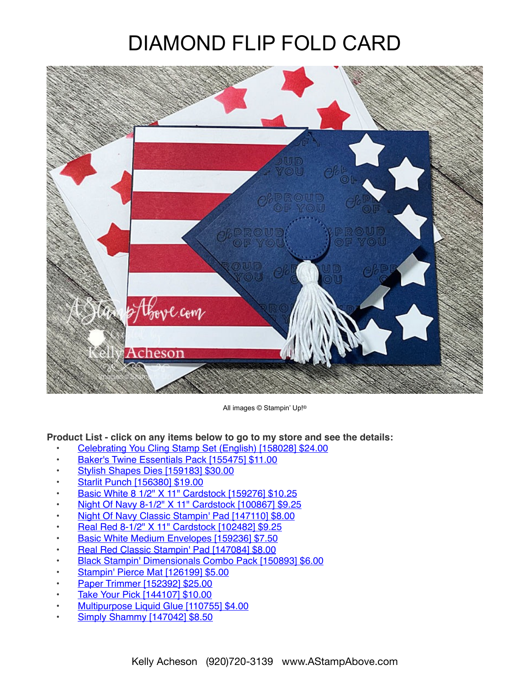## DIAMOND FLIP FOLD CARD



All images © Stampin' Up!®

## **Product List - click on any items below to go to my store and see the details:**

- [Celebrating You Cling Stamp Set \(English\) \[158028\] \\$24.00](https://www.stampinup.com/products/celebrating-you-cling-stamp-set-english?demoid=80626)
- [Baker's Twine Essentials Pack \[155475\] \\$11.00](https://www.stampinup.com/products/baker-s-twine-essentials-pack?demoid=80626)
- [Stylish Shapes Dies \[159183\] \\$30.00](https://www.stampinup.com/products/stylish-shapes-dies?demoid=80626)
- [Starlit Punch \[156380\] \\$19.00](https://www.stampinup.com/products/starlit-punch?demoid=80626)
- [Basic White 8 1/2" X 11" Cardstock \[159276\] \\$10.25](https://www.stampinup.com/products/basic-white-8-1-2-x-11-cardstock?demoid=80626)
- [Night Of Navy 8-1/2" X 11" Cardstock \[100867\] \\$9.25](https://www.stampinup.com/products/cardstock-8-1-2-x-11-night-of-navy?demoid=80626)
- [Night Of Navy Classic Stampin' Pad \[147110\] \\$8.00](https://www.stampinup.com/products/classic-stampin-pad-night-of-navy?demoid=80626)
- [Real Red 8-1/2" X 11" Cardstock \[102482\] \\$9.25](https://www.stampinup.com/products/cardstock-8-1-2-x-11-real-red?demoid=80626)
- [Basic White Medium Envelopes \[159236\] \\$7.50](https://www.stampinup.com/products/basic-white-medium-envelopes?demoid=80626)
- [Real Red Classic Stampin' Pad \[147084\] \\$8.00](https://www.stampinup.com/products/classic-stampin-pad-real-red?demoid=80626)
- [Black Stampin' Dimensionals Combo Pack \[150893\] \\$6.00](https://www.stampinup.com/products/black-stampin-dimensionals-combo-pack?demoid=80626)
- [Stampin' Pierce Mat \[126199\] \\$5.00](https://www.stampinup.com/products/stampin-pierce-mat?demoid=80626)
- [Paper Trimmer \[152392\] \\$25.00](https://www.stampinup.com/products/paper-trimmer?demoid=80626)
- [Take Your Pick \[144107\] \\$10.00](https://www.stampinup.com/products/take-your-pick?demoid=80626)
- [Multipurpose Liquid Glue \[110755\] \\$4.00](https://www.stampinup.com/products/glue-liquid-multipurpose?demoid=80626)
- [Simply Shammy \[147042\] \\$8.50](https://www.stampinup.com/products/simply-shammy?demoid=80626)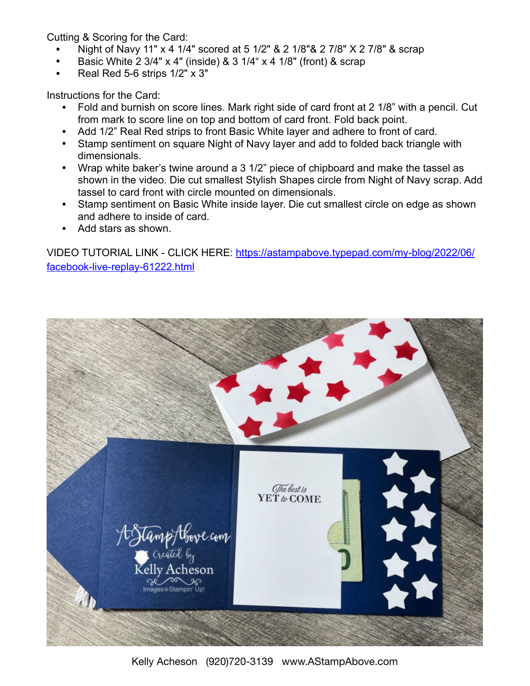Cutting & Scoring for the Card:

- Night of Navy 11" x 4 1/4" scored at 5 1/2" & 2 1/8"& 2 7/8" X 2 7/8" & scrap
- Basic White 2 3/4" x 4" (inside) & 3 1/4" x 4 1/8" (front) & scrap
- Real Red 5-6 strips 1/2" x 3"

Instructions for the Card:

- Fold and burnish on score lines. Mark right side of card front at 2 1/8" with a pencil. Cut from mark to score line on top and bottom of card front. Fold back point.
- Add 1/2" Real Red strips to front Basic White layer and adhere to front of card.
- Stamp sentiment on square Night of Navy layer and add to folded back triangle with dimensionals.
- Wrap white baker's twine around a 3 1/2" piece of chipboard and make the tassel as shown in the video. Die cut smallest Stylish Shapes circle from Night of Navy scrap. Add tassel to card front with circle mounted on dimensionals.
- Stamp sentiment on Basic White inside layer. Die cut smallest circle on edge as shown and adhere to inside of card.
- Add stars as shown.

VIDEO TUTORIAL LINK - CLICK HERE: [https://astampabove.typepad.com/my-blog/2022/06/](https://astampabove.typepad.com/my-blog/2022/06/facebook-live-replay-61222.html) [facebook-live-replay-61222.html](https://astampabove.typepad.com/my-blog/2022/06/facebook-live-replay-61222.html)



Kelly Acheson (920)720-3139 www.AStampAbove.com